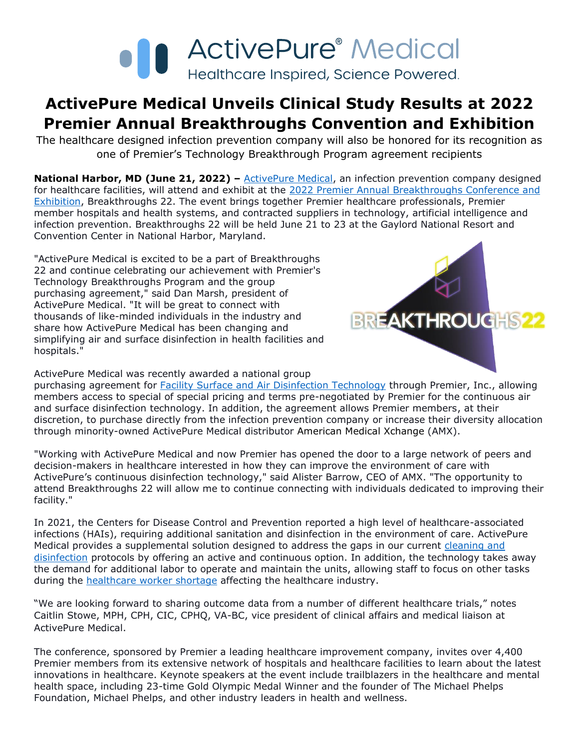

## **ActivePure Medical Unveils Clinical Study Results at 2022 Premier Annual Breakthroughs Convention and Exhibition**

The healthcare designed infection prevention company will also be honored for its recognition as one of Premier's Technology Breakthrough Program agreement recipients

**National Harbor, MD (June 21, 2022)** – [ActivePure Medical,](https://www.activepuremedical.com/service-providers/?utm_source=activepure+medical+press+release&utm_medium=accesswire.com&utm_campaign=june+2022+activepure+medical+premier+breakthroughs+convention&utm_content=activepure+medical+hyperlink+1) an infection prevention company designed for healthcare facilities, will attend and exhibit at the [2022 Premier Annual Breakthroughs Conference and](https://breakthroughs22.premierinc.com/)  [Exhibition,](https://breakthroughs22.premierinc.com/) Breakthroughs 22. The event brings together Premier healthcare professionals, Premier member hospitals and health systems, and contracted suppliers in technology, artificial intelligence and infection prevention. Breakthroughs 22 will be held June 21 to 23 at the Gaylord National Resort and Convention Center in National Harbor, Maryland.

"ActivePure Medical is excited to be a part of Breakthroughs 22 and continue celebrating our achievement with Premier's Technology Breakthroughs Program and the group purchasing agreement," said Dan Marsh, president of ActivePure Medical. "It will be great to connect with thousands of like-minded individuals in the industry and share how ActivePure Medical has been changing and simplifying air and surface disinfection in health facilities and hospitals."



ActivePure Medical was recently awarded a national group

purchasing agreement for [Facility Surface and Air Disinfection Technology](https://www.activepuremedical.com/premier/?utm_source=activepure+medical+press+release&utm_medium=accesswire.com&utm_campaign=june+2022+activepure+medical+premier+breakthroughs+convention&utm_content=facility+surface+and+air+disinfection+technology+hyperlink+2) through Premier, Inc., allowing members access to special of special pricing and terms pre-negotiated by Premier for the continuous air and surface disinfection technology. In addition, the agreement allows Premier members, at their discretion, to purchase directly from the infection prevention company or increase their diversity allocation through minority-owned ActivePure Medical distributor American Medical Xchange (AMX).

"Working with ActivePure Medical and now Premier has opened the door to a large network of peers and decision-makers in healthcare interested in how they can improve the environment of care with ActivePure's continuous disinfection technology," said Alister Barrow, CEO of AMX. "The opportunity to attend Breakthroughs 22 will allow me to continue connecting with individuals dedicated to improving their facility."

In 2021, the Centers for Disease Control and Prevention reported a high level of healthcare-associated infections (HAIs), requiring additional sanitation and disinfection in the environment of care. ActivePure Medical provides a supplemental solution designed to address the gaps in our current cleaning and [disinfection](https://www.activepuremedical.com/the-science/?utm_source=activepure+medical+press+release&utm_medium=accesswire.com&utm_campaign=june+2022+activepure+medical+premier+breakthroughs+convention&utm_content=cleaning+and+disinfection+hyperlink+3) protocols by offering an active and continuous option. In addition, the technology takes away the demand for additional labor to operate and maintain the units, allowing staff to focus on other tasks during the **healthcare worker shortage** affecting the healthcare industry.

"We are looking forward to sharing outcome data from a number of different healthcare trials," notes Caitlin Stowe, MPH, CPH, CIC, CPHQ, VA-BC, vice president of clinical affairs and medical liaison at ActivePure Medical.

The conference, sponsored by Premier a leading healthcare improvement company, invites over 4,400 Premier members from its extensive network of hospitals and healthcare facilities to learn about the latest innovations in healthcare. Keynote speakers at the event include trailblazers in the healthcare and mental health space, including 23-time Gold Olympic Medal Winner and the founder of The Michael Phelps Foundation, Michael Phelps, and other industry leaders in health and wellness.